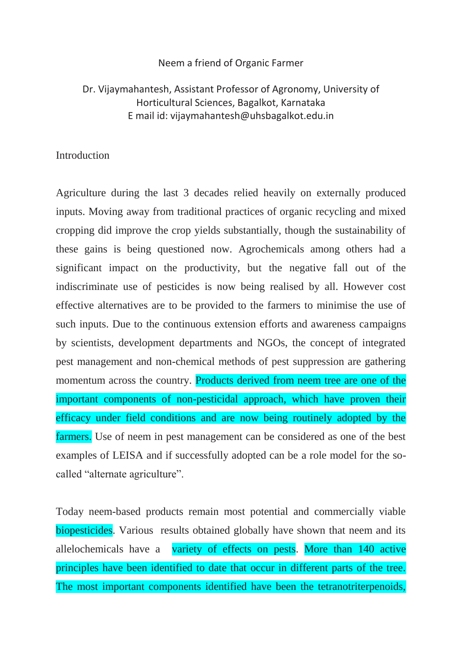### Neem a friend of Organic Farmer

# Dr. Vijaymahantesh, Assistant Professor of Agronomy, University of Horticultural Sciences, Bagalkot, Karnataka E mail id: vijaymahantesh@uhsbagalkot.edu.in

### Introduction

Agriculture during the last 3 decades relied heavily on externally produced inputs. Moving away from traditional practices of organic recycling and mixed cropping did improve the crop yields substantially, though the sustainability of these gains is being questioned now. Agrochemicals among others had a significant impact on the productivity, but the negative fall out of the indiscriminate use of pesticides is now being realised by all. However cost effective alternatives are to be provided to the farmers to minimise the use of such inputs. Due to the continuous extension efforts and awareness campaigns by scientists, development departments and NGOs, the concept of integrated pest management and non-chemical methods of pest suppression are gathering momentum across the country. Products derived from neem tree are one of the important components of non-pesticidal approach, which have proven their efficacy under field conditions and are now being routinely adopted by the farmers. Use of neem in pest management can be considered as one of the best examples of LEISA and if successfully adopted can be a role model for the socalled "alternate agriculture".

Today neem-based products remain most potential and commercially viable biopesticides. Various results obtained globally have shown that neem and its allelochemicals have a variety of effects on pests. More than 140 active principles have been identified to date that occur in different parts of the tree. The most important components identified have been the tetranotriterpenoids,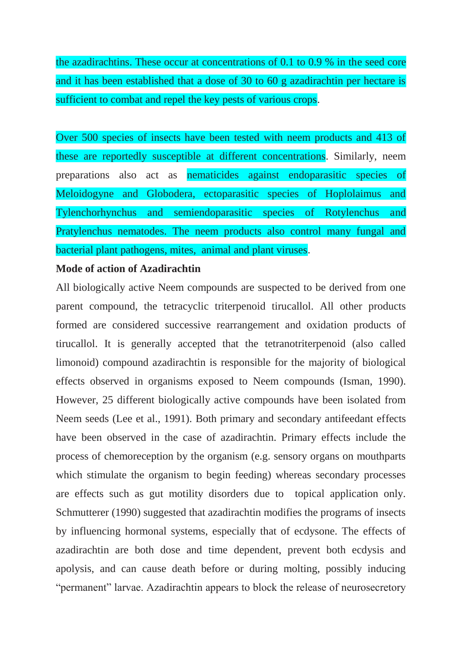the azadirachtins. These occur at concentrations of 0.1 to 0.9 % in the seed core and it has been established that a dose of 30 to 60 g azadirachtin per hectare is sufficient to combat and repel the key pests of various crops.

Over 500 species of insects have been tested with neem products and 413 of these are reportedly susceptible at different concentrations. Similarly, neem preparations also act as nematicides against endoparasitic species of Meloidogyne and Globodera, ectoparasitic species of Hoplolaimus and Tylenchorhynchus and semiendoparasitic species of Rotylenchus and Pratylenchus nematodes. The neem products also control many fungal and bacterial plant pathogens, mites, animal and plant viruses.

### **Mode of action of Azadirachtin**

All biologically active Neem compounds are suspected to be derived from one parent compound, the tetracyclic triterpenoid tirucallol. All other products formed are considered successive rearrangement and oxidation products of tirucallol. It is generally accepted that the tetranotriterpenoid (also called limonoid) compound azadirachtin is responsible for the majority of biological effects observed in organisms exposed to Neem compounds (Isman, 1990). However, 25 different biologically active compounds have been isolated from Neem seeds (Lee et al., 1991). Both primary and secondary antifeedant effects have been observed in the case of azadirachtin. Primary effects include the process of chemoreception by the organism (e.g. sensory organs on mouthparts which stimulate the organism to begin feeding) whereas secondary processes are effects such as gut motility disorders due to topical application only. Schmutterer (1990) suggested that azadirachtin modifies the programs of insects by influencing hormonal systems, especially that of ecdysone. The effects of azadirachtin are both dose and time dependent, prevent both ecdysis and apolysis, and can cause death before or during molting, possibly inducing "permanent" larvae. Azadirachtin appears to block the release of neurosecretory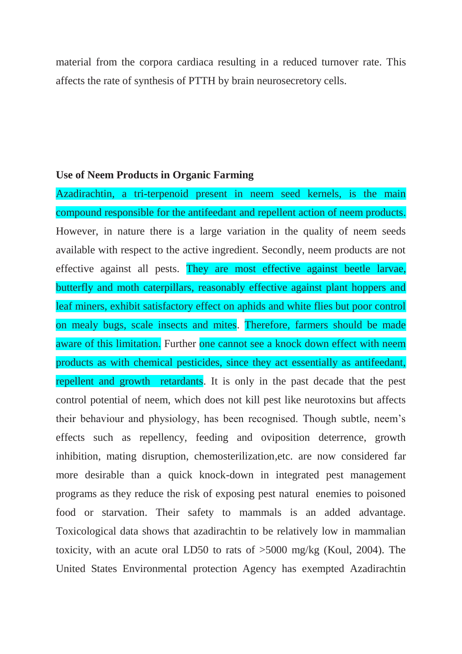material from the corpora cardiaca resulting in a reduced turnover rate. This affects the rate of synthesis of PTTH by brain neurosecretory cells.

### **Use of Neem Products in Organic Farming**

Azadirachtin, a tri-terpenoid present in neem seed kernels, is the main compound responsible for the antifeedant and repellent action of neem products. However, in nature there is a large variation in the quality of neem seeds available with respect to the active ingredient. Secondly, neem products are not effective against all pests. They are most effective against beetle larvae, butterfly and moth caterpillars, reasonably effective against plant hoppers and leaf miners, exhibit satisfactory effect on aphids and white flies but poor control on mealy bugs, scale insects and mites. Therefore, farmers should be made aware of this limitation. Further one cannot see a knock down effect with neem products as with chemical pesticides, since they act essentially as antifeedant, repellent and growth retardants. It is only in the past decade that the pest control potential of neem, which does not kill pest like neurotoxins but affects their behaviour and physiology, has been recognised. Though subtle, neem's effects such as repellency, feeding and oviposition deterrence, growth inhibition, mating disruption, chemosterilization,etc. are now considered far more desirable than a quick knock-down in integrated pest management programs as they reduce the risk of exposing pest natural enemies to poisoned food or starvation. Their safety to mammals is an added advantage. Toxicological data shows that azadirachtin to be relatively low in mammalian toxicity, with an acute oral LD50 to rats of >5000 mg/kg (Koul, 2004). The United States Environmental protection Agency has exempted Azadirachtin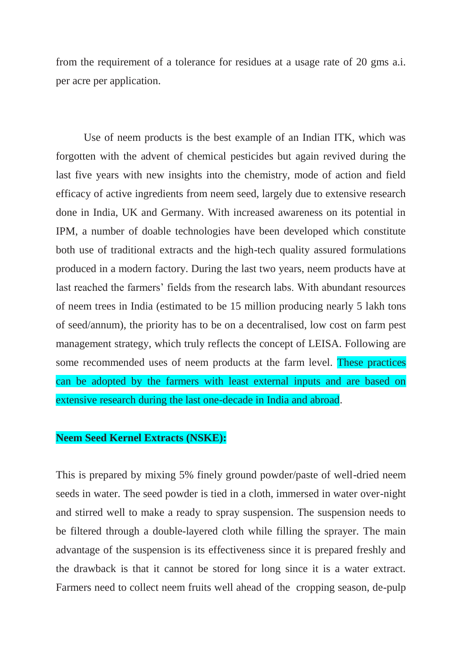from the requirement of a tolerance for residues at a usage rate of 20 gms a.i. per acre per application.

Use of neem products is the best example of an Indian ITK, which was forgotten with the advent of chemical pesticides but again revived during the last five years with new insights into the chemistry, mode of action and field efficacy of active ingredients from neem seed, largely due to extensive research done in India, UK and Germany. With increased awareness on its potential in IPM, a number of doable technologies have been developed which constitute both use of traditional extracts and the high-tech quality assured formulations produced in a modern factory. During the last two years, neem products have at last reached the farmers' fields from the research labs. With abundant resources of neem trees in India (estimated to be 15 million producing nearly 5 lakh tons of seed/annum), the priority has to be on a decentralised, low cost on farm pest management strategy, which truly reflects the concept of LEISA. Following are some recommended uses of neem products at the farm level. These practices can be adopted by the farmers with least external inputs and are based on extensive research during the last one-decade in India and abroad.

### **Neem Seed Kernel Extracts (NSKE):**

This is prepared by mixing 5% finely ground powder/paste of well-dried neem seeds in water. The seed powder is tied in a cloth, immersed in water over-night and stirred well to make a ready to spray suspension. The suspension needs to be filtered through a double-layered cloth while filling the sprayer. The main advantage of the suspension is its effectiveness since it is prepared freshly and the drawback is that it cannot be stored for long since it is a water extract. Farmers need to collect neem fruits well ahead of the cropping season, de-pulp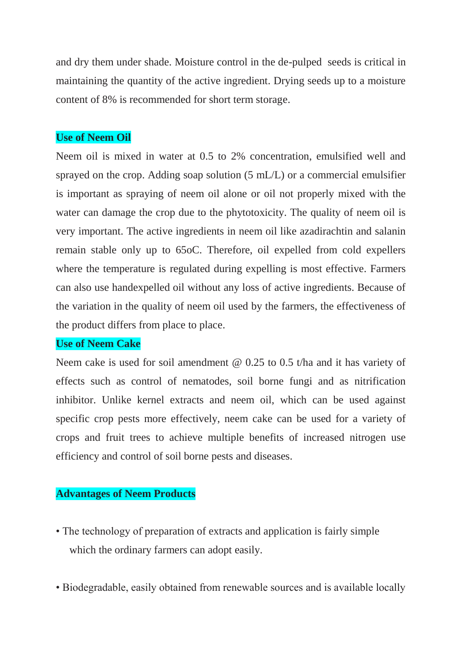and dry them under shade. Moisture control in the de-pulped seeds is critical in maintaining the quantity of the active ingredient. Drying seeds up to a moisture content of 8% is recommended for short term storage.

## **Use of Neem Oil**

Neem oil is mixed in water at 0.5 to 2% concentration, emulsified well and sprayed on the crop. Adding soap solution (5 mL/L) or a commercial emulsifier is important as spraying of neem oil alone or oil not properly mixed with the water can damage the crop due to the phytotoxicity. The quality of neem oil is very important. The active ingredients in neem oil like azadirachtin and salanin remain stable only up to 65oC. Therefore, oil expelled from cold expellers where the temperature is regulated during expelling is most effective. Farmers can also use handexpelled oil without any loss of active ingredients. Because of the variation in the quality of neem oil used by the farmers, the effectiveness of the product differs from place to place.

## **Use of Neem Cake**

Neem cake is used for soil amendment @ 0.25 to 0.5 t/ha and it has variety of effects such as control of nematodes, soil borne fungi and as nitrification inhibitor. Unlike kernel extracts and neem oil, which can be used against specific crop pests more effectively, neem cake can be used for a variety of crops and fruit trees to achieve multiple benefits of increased nitrogen use efficiency and control of soil borne pests and diseases.

## **Advantages of Neem Products**

- The technology of preparation of extracts and application is fairly simple which the ordinary farmers can adopt easily.
- Biodegradable, easily obtained from renewable sources and is available locally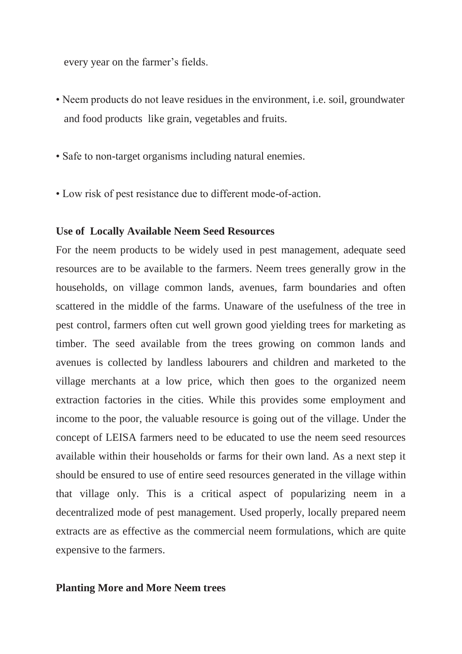every year on the farmer's fields.

- Neem products do not leave residues in the environment, i.e. soil, groundwater and food products like grain, vegetables and fruits.
- Safe to non-target organisms including natural enemies.
- Low risk of pest resistance due to different mode-of-action.

## **Use of Locally Available Neem Seed Resources**

For the neem products to be widely used in pest management, adequate seed resources are to be available to the farmers. Neem trees generally grow in the households, on village common lands, avenues, farm boundaries and often scattered in the middle of the farms. Unaware of the usefulness of the tree in pest control, farmers often cut well grown good yielding trees for marketing as timber. The seed available from the trees growing on common lands and avenues is collected by landless labourers and children and marketed to the village merchants at a low price, which then goes to the organized neem extraction factories in the cities. While this provides some employment and income to the poor, the valuable resource is going out of the village. Under the concept of LEISA farmers need to be educated to use the neem seed resources available within their households or farms for their own land. As a next step it should be ensured to use of entire seed resources generated in the village within that village only. This is a critical aspect of popularizing neem in a decentralized mode of pest management. Used properly, locally prepared neem extracts are as effective as the commercial neem formulations, which are quite expensive to the farmers.

### **Planting More and More Neem trees**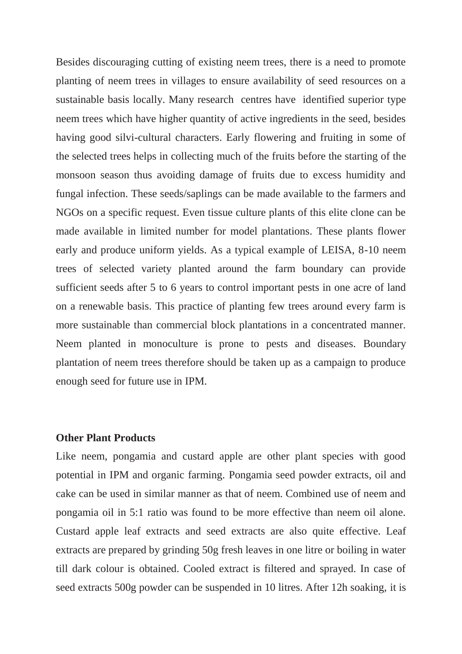Besides discouraging cutting of existing neem trees, there is a need to promote planting of neem trees in villages to ensure availability of seed resources on a sustainable basis locally. Many research centres have identified superior type neem trees which have higher quantity of active ingredients in the seed, besides having good silvi-cultural characters. Early flowering and fruiting in some of the selected trees helps in collecting much of the fruits before the starting of the monsoon season thus avoiding damage of fruits due to excess humidity and fungal infection. These seeds/saplings can be made available to the farmers and NGOs on a specific request. Even tissue culture plants of this elite clone can be made available in limited number for model plantations. These plants flower early and produce uniform yields. As a typical example of LEISA, 8-10 neem trees of selected variety planted around the farm boundary can provide sufficient seeds after 5 to 6 years to control important pests in one acre of land on a renewable basis. This practice of planting few trees around every farm is more sustainable than commercial block plantations in a concentrated manner. Neem planted in monoculture is prone to pests and diseases. Boundary plantation of neem trees therefore should be taken up as a campaign to produce enough seed for future use in IPM.

### **Other Plant Products**

Like neem, pongamia and custard apple are other plant species with good potential in IPM and organic farming. Pongamia seed powder extracts, oil and cake can be used in similar manner as that of neem. Combined use of neem and pongamia oil in 5:1 ratio was found to be more effective than neem oil alone. Custard apple leaf extracts and seed extracts are also quite effective. Leaf extracts are prepared by grinding 50g fresh leaves in one litre or boiling in water till dark colour is obtained. Cooled extract is filtered and sprayed. In case of seed extracts 500g powder can be suspended in 10 litres. After 12h soaking, it is